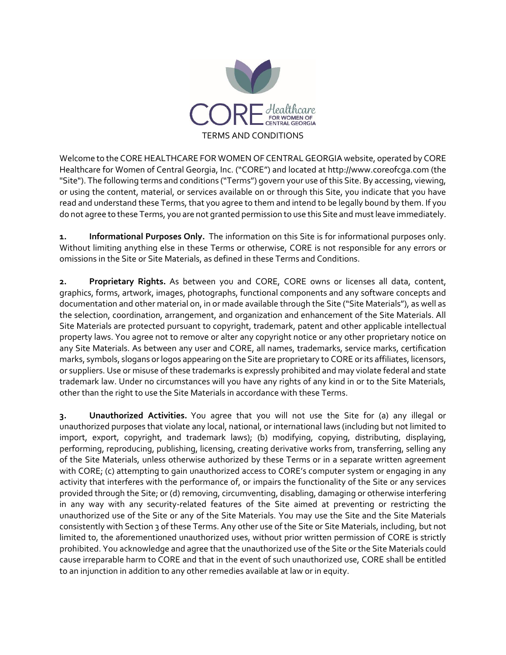

Welcome to the CORE HEALTHCARE FOR WOMEN OF CENTRAL GEORGIA website, operated by CORE Healthcare for Women of Central Georgia, Inc. ("CORE") and located at http://www.coreofcga.com (the "Site"). The following terms and conditions ("Terms") govern your use of this Site. By accessing, viewing, or using the content, material, or services available on or through this Site, you indicate that you have read and understand these Terms, that you agree to them and intend to be legally bound by them. If you do not agree to these Terms, you are not granted permission to use this Site and must leave immediately.

**1. Informational Purposes Only.** The information on this Site is for informational purposes only. Without limiting anything else in these Terms or otherwise, CORE is not responsible for any errors or omissions in the Site or Site Materials, as defined in these Terms and Conditions.

**2. Proprietary Rights.** As between you and CORE, CORE owns or licenses all data, content, graphics, forms, artwork, images, photographs, functional components and any software concepts and documentation and other material on, in or made available through the Site ("Site Materials"), as well as the selection, coordination, arrangement, and organization and enhancement of the Site Materials. All Site Materials are protected pursuant to copyright, trademark, patent and other applicable intellectual property laws. You agree not to remove or alter any copyright notice or any other proprietary notice on any Site Materials. As between any user and CORE, all names, trademarks, service marks, certification marks, symbols, slogans or logos appearing on the Site are proprietary to CORE or its affiliates, licensors, or suppliers. Use or misuse of these trademarks is expressly prohibited and may violate federal and state trademark law. Under no circumstances will you have any rights of any kind in or to the Site Materials, other than the right to use the Site Materials in accordance with these Terms.

**3. Unauthorized Activities.** You agree that you will not use the Site for (a) any illegal or unauthorized purposes that violate any local, national, or international laws (including but not limited to import, export, copyright, and trademark laws); (b) modifying, copying, distributing, displaying, performing, reproducing, publishing, licensing, creating derivative works from, transferring, selling any of the Site Materials, unless otherwise authorized by these Terms or in a separate written agreement with CORE; (c) attempting to gain unauthorized access to CORE's computer system or engaging in any activity that interferes with the performance of, or impairs the functionality of the Site or any services provided through the Site; or (d) removing, circumventing, disabling, damaging or otherwise interfering in any way with any security-related features of the Site aimed at preventing or restricting the unauthorized use of the Site or any of the Site Materials. You may use the Site and the Site Materials consistently with Section 3 of these Terms. Any other use of the Site or Site Materials, including, but not limited to, the aforementioned unauthorized uses, without prior written permission of CORE is strictly prohibited. You acknowledge and agree that the unauthorized use of the Site or the Site Materials could cause irreparable harm to CORE and that in the event of such unauthorized use, CORE shall be entitled to an injunction in addition to any other remedies available at law or in equity.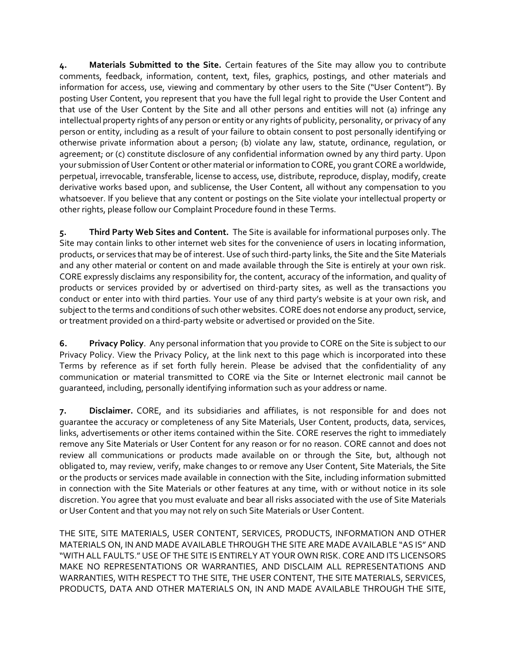**4. Materials Submitted to the Site.** Certain features of the Site may allow you to contribute comments, feedback, information, content, text, files, graphics, postings, and other materials and information for access, use, viewing and commentary by other users to the Site ("User Content"). By posting User Content, you represent that you have the full legal right to provide the User Content and that use of the User Content by the Site and all other persons and entities will not (a) infringe any intellectual property rights of any person or entity or any rights of publicity, personality, or privacy of any person or entity, including as a result of your failure to obtain consent to post personally identifying or otherwise private information about a person; (b) violate any law, statute, ordinance, regulation, or agreement; or (c) constitute disclosure of any confidential information owned by any third party. Upon your submission of User Content or other material or information to CORE, you grant CORE a worldwide, perpetual, irrevocable, transferable, license to access, use, distribute, reproduce, display, modify, create derivative works based upon, and sublicense, the User Content, all without any compensation to you whatsoever. If you believe that any content or postings on the Site violate your intellectual property or other rights, please follow our Complaint Procedure found in these Terms.

**5. Third Party Web Sites and Content.** The Site is available for informational purposes only. The Site may contain links to other internet web sites for the convenience of users in locating information, products, or services that may be of interest. Use of such third-party links, the Site and the Site Materials and any other material or content on and made available through the Site is entirely at your own risk. CORE expressly disclaims any responsibility for, the content, accuracy of the information, and quality of products or services provided by or advertised on third-party sites, as well as the transactions you conduct or enter into with third parties. Your use of any third party's website is at your own risk, and subject to the terms and conditions of such other websites. CORE does not endorse any product, service, or treatment provided on a third-party website or advertised or provided on the Site.

**6. Privacy Policy**. Any personal information that you provide to CORE on the Site is subject to our Privacy Policy. View the Privacy Policy, at the link next to this page which is incorporated into these Terms by reference as if set forth fully herein. Please be advised that the confidentiality of any communication or material transmitted to CORE via the Site or Internet electronic mail cannot be guaranteed, including, personally identifying information such as your address or name.

**7. Disclaimer.** CORE, and its subsidiaries and affiliates, is not responsible for and does not guarantee the accuracy or completeness of any Site Materials, User Content, products, data, services, links, advertisements or other items contained within the Site. CORE reserves the right to immediately remove any Site Materials or User Content for any reason or for no reason. CORE cannot and does not review all communications or products made available on or through the Site, but, although not obligated to, may review, verify, make changes to or remove any User Content, Site Materials, the Site or the products or services made available in connection with the Site, including information submitted in connection with the Site Materials or other features at any time, with or without notice in its sole discretion. You agree that you must evaluate and bear all risks associated with the use of Site Materials or User Content and that you may not rely on such Site Materials or User Content.

THE SITE, SITE MATERIALS, USER CONTENT, SERVICES, PRODUCTS, INFORMATION AND OTHER MATERIALS ON, IN AND MADE AVAILABLE THROUGH THE SITE ARE MADE AVAILABLE "AS IS" AND "WITH ALL FAULTS." USE OF THE SITE IS ENTIRELY AT YOUR OWN RISK. CORE AND ITS LICENSORS MAKE NO REPRESENTATIONS OR WARRANTIES, AND DISCLAIM ALL REPRESENTATIONS AND WARRANTIES, WITH RESPECT TO THE SITE, THE USER CONTENT, THE SITE MATERIALS, SERVICES, PRODUCTS, DATA AND OTHER MATERIALS ON, IN AND MADE AVAILABLE THROUGH THE SITE,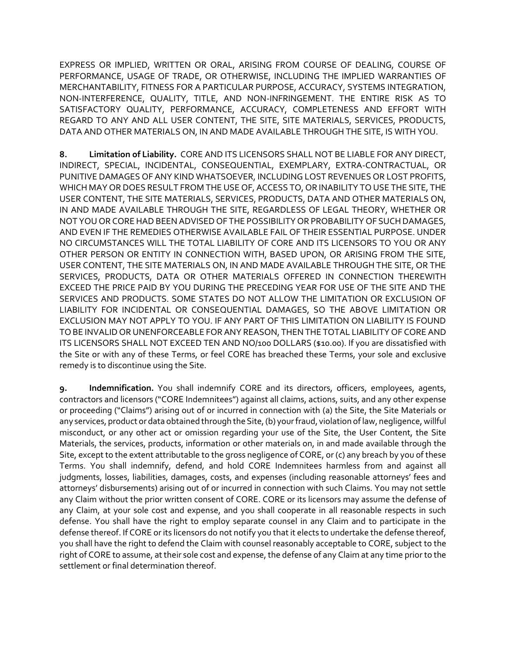EXPRESS OR IMPLIED, WRITTEN OR ORAL, ARISING FROM COURSE OF DEALING, COURSE OF PERFORMANCE, USAGE OF TRADE, OR OTHERWISE, INCLUDING THE IMPLIED WARRANTIES OF MERCHANTABILITY, FITNESS FOR A PARTICULAR PURPOSE, ACCURACY, SYSTEMS INTEGRATION, NON-INTERFERENCE, QUALITY, TITLE, AND NON-INFRINGEMENT. THE ENTIRE RISK AS TO SATISFACTORY QUALITY, PERFORMANCE, ACCURACY, COMPLETENESS AND EFFORT WITH REGARD TO ANY AND ALL USER CONTENT, THE SITE, SITE MATERIALS, SERVICES, PRODUCTS, DATA AND OTHER MATERIALS ON, IN AND MADE AVAILABLE THROUGH THE SITE, IS WITH YOU.

**8. Limitation of Liability.** CORE AND ITS LICENSORS SHALL NOT BE LIABLE FOR ANY DIRECT, INDIRECT, SPECIAL, INCIDENTAL, CONSEQUENTIAL, EXEMPLARY, EXTRA-CONTRACTUAL, OR PUNITIVE DAMAGES OF ANY KIND WHATSOEVER, INCLUDING LOST REVENUES OR LOST PROFITS, WHICH MAY OR DOES RESULT FROM THE USE OF, ACCESS TO, OR INABILITY TO USE THE SITE, THE USER CONTENT, THE SITE MATERIALS, SERVICES, PRODUCTS, DATA AND OTHER MATERIALS ON, IN AND MADE AVAILABLE THROUGH THE SITE, REGARDLESS OF LEGAL THEORY, WHETHER OR NOT YOU OR COREHAD BEEN ADVISED OF THE POSSIBILITY OR PROBABILITY OF SUCH DAMAGES, AND EVEN IF THE REMEDIES OTHERWISE AVAILABLE FAIL OF THEIR ESSENTIAL PURPOSE. UNDER NO CIRCUMSTANCES WILL THE TOTAL LIABILITY OF CORE AND ITS LICENSORS TO YOU OR ANY OTHER PERSON OR ENTITY IN CONNECTION WITH, BASED UPON, OR ARISING FROM THE SITE, USER CONTENT, THE SITE MATERIALS ON, IN AND MADE AVAILABLE THROUGH THE SITE, OR THE SERVICES, PRODUCTS, DATA OR OTHER MATERIALS OFFERED IN CONNECTION THEREWITH EXCEED THE PRICE PAID BY YOU DURING THE PRECEDING YEAR FOR USE OF THE SITE AND THE SERVICES AND PRODUCTS. SOME STATES DO NOT ALLOW THE LIMITATION OR EXCLUSION OF LIABILITY FOR INCIDENTAL OR CONSEQUENTIAL DAMAGES, SO THE ABOVE LIMITATION OR EXCLUSION MAY NOT APPLY TO YOU. IF ANY PART OF THIS LIMITATION ON LIABILITY IS FOUND TO BE INVALID OR UNENFORCEABLE FOR ANY REASON, THEN THE TOTAL LIABILITY OF CORE AND ITS LICENSORS SHALL NOT EXCEED TEN AND NO/100 DOLLARS (\$10.00). If you are dissatisfied with the Site or with any of these Terms, or feel CORE has breached these Terms, your sole and exclusive remedy is to discontinue using the Site.

**9. Indemnification.** You shall indemnify CORE and its directors, officers, employees, agents, contractors and licensors ("CORE Indemnitees") against all claims, actions, suits, and any other expense or proceeding ("Claims") arising out of or incurred in connection with (a) the Site, the Site Materials or any services, product or data obtained through the Site, (b) your fraud, violation of law, negligence, willful misconduct, or any other act or omission regarding your use of the Site, the User Content, the Site Materials, the services, products, information or other materials on, in and made available through the Site, except to the extent attributable to the gross negligence of CORE, or (c) any breach by you of these Terms. You shall indemnify, defend, and hold CORE Indemnitees harmless from and against all judgments, losses, liabilities, damages, costs, and expenses (including reasonable attorneys' fees and attorneys' disbursements) arising out of or incurred in connection with such Claims. You may not settle any Claim without the prior written consent of CORE. CORE or its licensors may assume the defense of any Claim, at your sole cost and expense, and you shall cooperate in all reasonable respects in such defense. You shall have the right to employ separate counsel in any Claim and to participate in the defense thereof. If CORE or its licensors do not notify you that it elects to undertake the defense thereof, you shall have the right to defend the Claim with counsel reasonably acceptable to CORE, subject to the right of CORE to assume, at their sole cost and expense, the defense of any Claim at any time prior to the settlement or final determination thereof.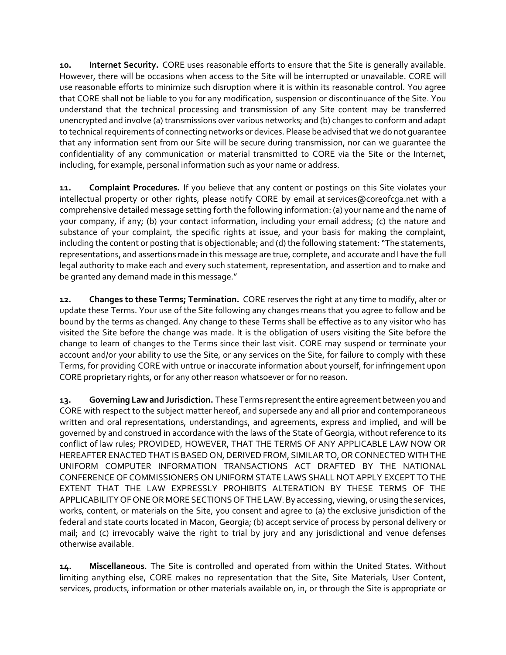**10. Internet Security.** CORE uses reasonable efforts to ensure that the Site is generally available. However, there will be occasions when access to the Site will be interrupted or unavailable. CORE will use reasonable efforts to minimize such disruption where it is within its reasonable control. You agree that CORE shall not be liable to you for any modification, suspension or discontinuance of the Site. You understand that the technical processing and transmission of any Site content may be transferred unencrypted and involve (a) transmissions over various networks; and (b) changes to conform and adapt to technical requirements of connecting networks or devices. Please be advised that we do not guarantee that any information sent from our Site will be secure during transmission, nor can we guarantee the confidentiality of any communication or material transmitted to CORE via the Site or the Internet, including, for example, personal information such as your name or address.

**11. Complaint Procedures.** If you believe that any content or postings on this Site violates your intellectual property or other rights, please notify CORE by email at services@coreofcga.net with a comprehensive detailed message setting forth the following information: (a) your name and the name of your company, if any; (b) your contact information, including your email address; (c) the nature and substance of your complaint, the specific rights at issue, and your basis for making the complaint, including the content or posting that is objectionable; and (d) the following statement: "The statements, representations, and assertions made in this message are true, complete, and accurate and I have the full legal authority to make each and every such statement, representation, and assertion and to make and be granted any demand made in this message."

**12. Changes to these Terms; Termination.** CORE reserves the right at any time to modify, alter or update these Terms. Your use of the Site following any changes means that you agree to follow and be bound by the terms as changed. Any change to these Terms shall be effective as to any visitor who has visited the Site before the change was made. It is the obligation of users visiting the Site before the change to learn of changes to the Terms since their last visit. CORE may suspend or terminate your account and/or your ability to use the Site, or any services on the Site, for failure to comply with these Terms, for providing CORE with untrue or inaccurate information about yourself, for infringement upon CORE proprietary rights, or for any other reason whatsoever or for no reason.

**13. Governing Law and Jurisdiction.** These Terms represent the entire agreement between you and CORE with respect to the subject matter hereof, and supersede any and all prior and contemporaneous written and oral representations, understandings, and agreements, express and implied, and will be governed by and construed in accordance with the laws of the State of Georgia, without reference to its conflict of law rules; PROVIDED, HOWEVER, THAT THE TERMS OF ANY APPLICABLE LAW NOW OR HEREAFTER ENACTED THAT IS BASED ON, DERIVED FROM, SIMILAR TO, OR CONNECTED WITH THE UNIFORM COMPUTER INFORMATION TRANSACTIONS ACT DRAFTED BY THE NATIONAL CONFERENCE OF COMMISSIONERS ON UNIFORM STATE LAWS SHALL NOT APPLY EXCEPT TO THE EXTENT THAT THE LAW EXPRESSLY PROHIBITS ALTERATION BY THESE TERMS OF THE APPLICABILITY OF ONE OR MORE SECTIONS OF THE LAW. By accessing, viewing, or using the services, works, content, or materials on the Site, you consent and agree to (a) the exclusive jurisdiction of the federal and state courts located in Macon, Georgia; (b) accept service of process by personal delivery or mail; and (c) irrevocably waive the right to trial by jury and any jurisdictional and venue defenses otherwise available.

**14. Miscellaneous.** The Site is controlled and operated from within the United States. Without limiting anything else, CORE makes no representation that the Site, Site Materials, User Content, services, products, information or other materials available on, in, or through the Site is appropriate or